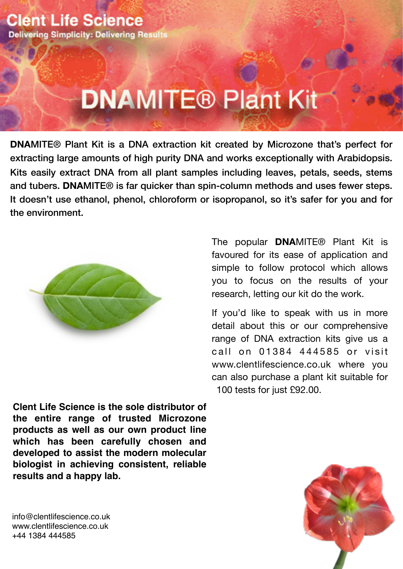# **DNAMITE® Plant Kit**

**DNA**MITE® Plant Kit is a DNA extraction kit created by Microzone that's perfect for extracting large amounts of high purity DNA and works exceptionally with Arabidopsis. Kits easily extract DNA from all plant samples including leaves, petals, seeds, stems and tubers. **DNA**MITE® is far quicker than spin-column methods and uses fewer steps. It doesn't use ethanol, phenol, chloroform or isopropanol, so it's safer for you and for the environment.



**Clent Life Science is the sole distributor of the entire range of trusted Microzone products as well as our own product line which has been carefully chosen and developed to assist the modern molecular biologist in achieving consistent, reliable results and a happy lab.**

The popular **DNA**MITE® Plant Kit is favoured for its ease of application and simple to follow protocol which allows you to focus on the results of your research, letting our kit do the work.

If you'd like to speak with us in more detail about this or our comprehensive range of DNA extraction kits give us a call on 01384 444585 or visit [www.clentlifescience.co.uk](http://www.clentlifescience.co.uk) where you can also purchase a plant kit suitable for 100 tests for just £92.00.



[info@clentlifescience.co.uk](mailto:info@clentlifescience.co.uk) www.clentlifescience.co.uk +44 1384 444585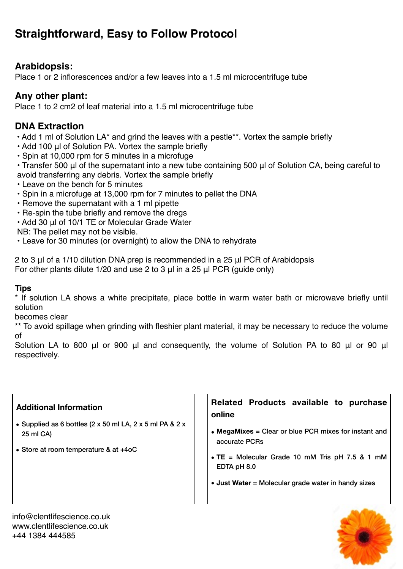# **Straightforward, Easy to Follow Protocol**

## **Arabidopsis:**

Place 1 or 2 inflorescences and/or a few leaves into a 1.5 ml microcentrifuge tube

#### **Any other plant:**

Place 1 to 2 cm2 of leaf material into a 1.5 ml microcentrifuge tube

## **DNA Extraction**

- Add 1 ml of Solution LA\* and grind the leaves with a pestle\*\*. Vortex the sample briefly
- Add 100 μl of Solution PA. Vortex the sample briefly
- Spin at 10,000 rpm for 5 minutes in a microfuge
- Transfer 500 μl of the supernatant into a new tube containing 500 μl of Solution CA, being careful to avoid transferring any debris. Vortex the sample briefly
- Leave on the bench for 5 minutes
- Spin in a microfuge at 13,000 rpm for 7 minutes to pellet the DNA
- Remove the supernatant with a 1 ml pipette
- Re-spin the tube briefly and remove the dregs
- Add 30 μl of 10/1 TE or Molecular Grade Water

NB: The pellet may not be visible.

• Leave for 30 minutes (or overnight) to allow the DNA to rehydrate

2 to 3 μl of a 1/10 dilution DNA prep is recommended in a 25 μl PCR of Arabidopsis For other plants dilute 1/20 and use 2 to 3 μl in a 25 μl PCR (guide only)

#### **Tips**

\* If solution LA shows a white precipitate, place bottle in warm water bath or microwave briefly until solution

becomes clear

\*\* To avoid spillage when grinding with fleshier plant material, it may be necessary to reduce the volume of

Solution LA to 800 μl or 900 μl and consequently, the volume of Solution PA to 80 μl or 90 μl respectively.

#### **Additional Information**

- Supplied as 6 bottles (2  $\times$  50 ml LA, 2  $\times$  5 ml PA & 2  $\times$ 25 ml CA)
- Store at room temperature & at +4oC

**Related Products available to purchase online**

- **MegaMixes** = Clear or blue PCR mixes for instant and accurate PCRs
- **TE** = Molecular Grade 10 mM Tris pH 7.5 & 1 mM EDTA pH 8.0
- **Just Water** = Molecular grade water in handy sizes



[info@clentlifescience.co.uk](mailto:info@clentlifescience.co.uk) www.clentlifescience.co.uk +44 1384 444585